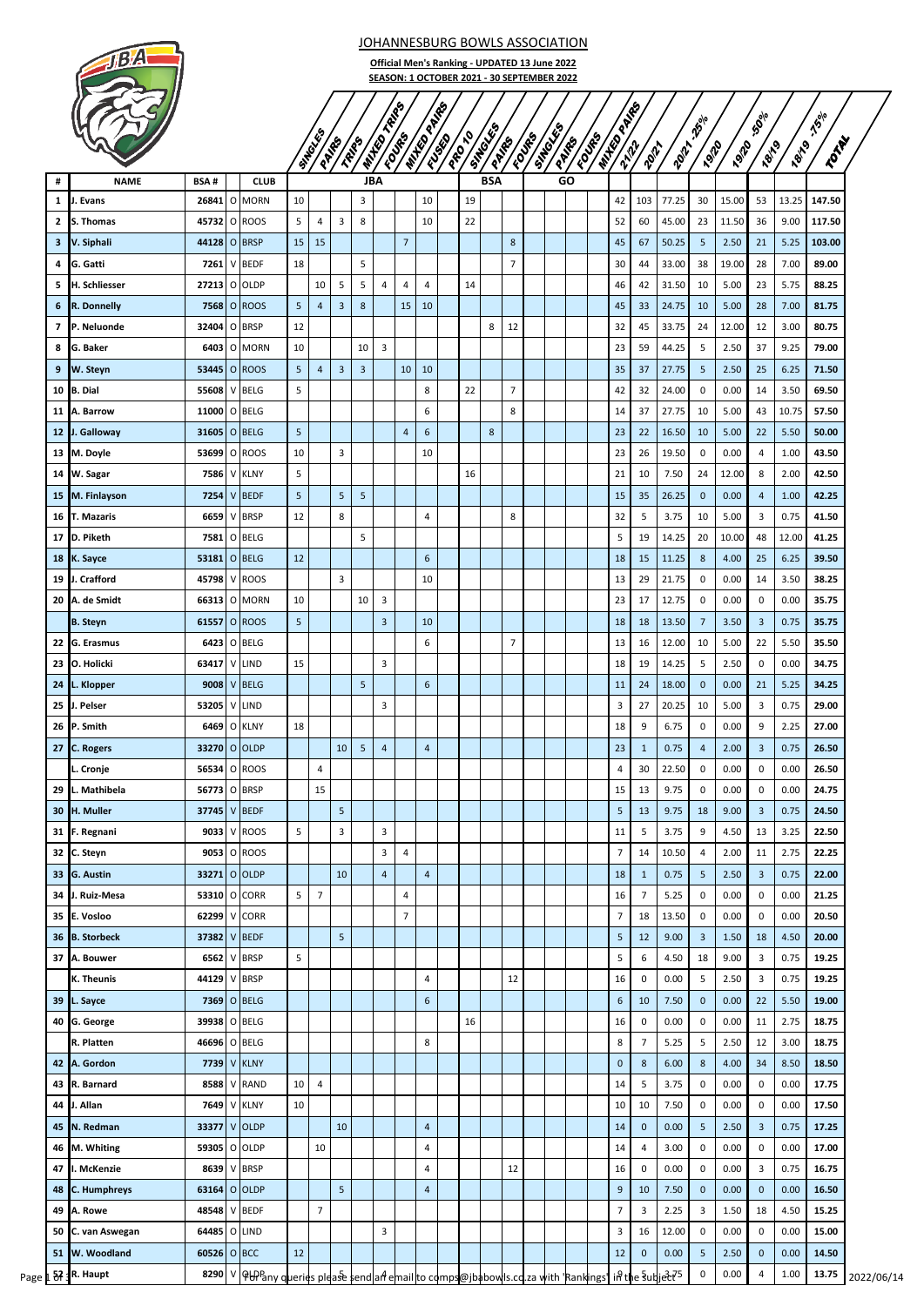JOHANNESBURG BOWLS ASSOCIATION

**Official Men's Ranking - UPDATED 13 June 2022 SEASON: 1 OCTOBER 2021 - 30 SEPTEMBER 2022**

> PRO 10 SINGL<sub>ES</sub>

France **SINGLES PAIRS FOURS** 

**MIXED PARKS** 

**2012 -25% 19/20** 

**120 -50% 18/19** 

18/19 -19/19 TONA

**MIXED REPS** 

**MIXED PAIRS** 



|    |                   |              |   |              |    | <b>SITTE</b> EFFE | PAIRE                   | <b>PROP</b>             | <b>WATER OF</b>         | <b>100%</b>     | <b>WATER DREAM</b> | 1591 | <b>1999</b> | <b>STROOM</b><br>PATRO | <b>COVE</b> S  |  | PARE | <b>COVER</b> | <b>WITH COOP!</b><br><b>1292</b> | <b>Polit</b>   | <b>Poll</b> | 26910<br><b>P.912</b> | <b>P.910</b> | <b>SOL</b><br><b>7819</b> | <b>7819</b> | <b>150</b><br><b>ZOTAL</b> |
|----|-------------------|--------------|---|--------------|----|-------------------|-------------------------|-------------------------|-------------------------|-----------------|--------------------|------|-------------|------------------------|----------------|--|------|--------------|----------------------------------|----------------|-------------|-----------------------|--------------|---------------------------|-------------|----------------------------|
|    |                   |              |   |              |    |                   |                         |                         |                         |                 |                    |      |             |                        |                |  |      |              |                                  |                |             |                       |              |                           |             |                            |
|    | <b>NAME</b>       | <b>BSA#</b>  |   | <b>CLUB</b>  |    |                   |                         |                         | <b>JBA</b>              |                 |                    |      |             | <b>BSA</b>             |                |  | GO   |              |                                  |                |             |                       |              |                           |             |                            |
| 1  | J. Evans          | 26841        |   | O MORN       | 10 |                   |                         | 3                       |                         |                 | 10                 |      | 19          |                        |                |  |      |              | 42                               | 103            | 77.25       | 30                    | 15.00        | 53                        | 13.25       | 147.50                     |
| 2  | S. Thomas         | 45732        |   | O ROOS       | 5  | 4                 | 3                       | 8                       |                         |                 | 10                 |      | 22          |                        |                |  |      |              | 52                               | 60             | 45.00       | 23                    | 11.50        | 36                        | 9.00        | 117.50                     |
| з  | V. Siphali        | 44128        |   | O BRSP       | 15 | 15                |                         |                         |                         | $\overline{7}$  |                    |      |             |                        | 8              |  |      |              | 45                               | 67             | 50.25       | 5                     | 2.50         | 21                        | 5.25        | 103.00                     |
| 4  | G. Gatti          | 7261         |   | V BEDF       | 18 |                   |                         | 5                       |                         |                 |                    |      |             |                        | $\overline{7}$ |  |      |              | 30                               | 44             | 33.00       | 38                    | 19.00        | 28                        | 7.00        | 89.00                      |
| 5  | H. Schliesser     | 27213        |   | O OLDP       |    | 10                | 5                       | 5                       | 4                       | 4               | 4                  |      | 14          |                        |                |  |      |              | 46                               | 42             | 31.50       | 10                    | 5.00         | 23                        | 5.75        | 88.25                      |
| 6  | R. Donnelly       | 7568         |   | O ROOS       | 5  | $\overline{4}$    | 3                       | 8                       |                         | 15              | 10                 |      |             |                        |                |  |      |              | 45                               | 33             | 24.75       | 10                    | 5.00         | 28                        | 7.00        | 81.75                      |
| 7  | P. Neluonde       | 32404        |   | O BRSP       | 12 |                   |                         |                         |                         |                 |                    |      |             | 8                      | 12             |  |      |              | 32                               | 45             | 33.75       | 24                    | 12.00        | 12                        | 3.00        | 80.75                      |
| 8  | G. Baker          | 6403         |   | O MORN       | 10 |                   |                         | 10                      | $\overline{\mathbf{3}}$ |                 |                    |      |             |                        |                |  |      |              | 23                               | 59             | 44.25       | 5                     | 2.50         | 37                        | 9.25        | 79.00                      |
| 9  | W. Steyn          | 53445        |   | O ROOS       | 5  | 4                 | $\overline{\mathbf{3}}$ | $\overline{\mathbf{3}}$ |                         | 10 <sup>1</sup> | 10                 |      |             |                        |                |  |      |              | 35                               | 37             | 27.75       | 5                     | 2.50         | 25                        | 6.25        | 71.50                      |
| 10 | <b>B.</b> Dial    | 55608        | V | <b>BELG</b>  | 5  |                   |                         |                         |                         |                 | 8                  |      | 22          |                        | $\overline{7}$ |  |      |              | 42                               | 32             | 24.00       | 0                     | 0.00         | 14                        | 3.50        | 69.50                      |
|    | 11 A. Barrow      | 11000        |   | O BELG       |    |                   |                         |                         |                         |                 | 6                  |      |             |                        | 8              |  |      |              | 14                               | 37             | 27.75       | 10                    | 5.00         | 43                        | 10.75       | 57.50                      |
|    | 12 J. Galloway    | 31605        |   | O BELG       | 5  |                   |                         |                         |                         | $\overline{a}$  | $\sqrt{6}$         |      |             | 8                      |                |  |      |              | 23                               | 22             | 16.50       | 10                    | 5.00         | 22                        | 5.50        | 50.00                      |
|    | 13 M. Doyle       | 53699        |   | O ROOS       | 10 |                   | 3                       |                         |                         |                 | 10                 |      |             |                        |                |  |      |              | 23                               | 26             | 19.50       | 0                     | 0.00         | 4                         | 1.00        | 43.50                      |
|    | 14 W. Sagar       | 7586         | V | <b>KLNY</b>  | 5  |                   |                         |                         |                         |                 |                    |      | 16          |                        |                |  |      |              | 21                               | 10             | 7.50        | 24                    | 12.00        | 8                         | 2.00        | 42.50                      |
|    | 15 M. Finlayson   | 7254         |   | V BEDF       | 5  |                   | 5                       | 5                       |                         |                 |                    |      |             |                        |                |  |      |              | 15                               | 35             | 26.25       | $\mathbf 0$           | 0.00         | $\overline{a}$            | 1.00        | 42.25                      |
| 16 | T. Mazaris        | 6659         | V | <b>BRSP</b>  | 12 |                   | 8                       |                         |                         |                 | 4                  |      |             |                        | 8              |  |      |              | 32                               | 5              | 3.75        | 10                    | 5.00         | 3                         | 0.75        | 41.50                      |
| 17 | D. Piketh         | 7581         |   | O BELG       |    |                   |                         | 5                       |                         |                 |                    |      |             |                        |                |  |      |              | 5                                | 19             | 14.25       | 20                    | 10.00        | 48                        | 12.00       | 41.25                      |
| 18 | K. Sayce          | 53181        |   | O BELG       | 12 |                   |                         |                         |                         |                 | 6                  |      |             |                        |                |  |      |              | 18                               | 15             | 11.25       | 8                     | 4.00         | 25                        | 6.25        | 39.50                      |
|    | 19 J. Crafford    | 45798        |   | V ROOS       |    |                   | 3                       |                         |                         |                 | 10                 |      |             |                        |                |  |      |              | 13                               | 29             | 21.75       | 0                     | 0.00         | 14                        | 3.50        | 38.25                      |
|    | 20 A. de Smidt    | 66313        |   | O MORN       | 10 |                   |                         | 10                      | 3                       |                 |                    |      |             |                        |                |  |      |              | 23                               | 17             | 12.75       | 0                     | 0.00         | 0                         | 0.00        | 35.75                      |
|    | <b>B.</b> Steyn   | 61557        |   | O ROOS       | 5  |                   |                         |                         | 3                       |                 | 10                 |      |             |                        |                |  |      |              | 18                               | 18             | 13.50       | $\overline{7}$        | 3.50         | $\overline{3}$            | 0.75        | 35.75                      |
| 22 | G. Erasmus        | 6423         |   | O BELG       |    |                   |                         |                         |                         |                 | 6                  |      |             |                        | $\overline{7}$ |  |      |              | 13                               | 16             | 12.00       | 10                    | 5.00         | 22                        | 5.50        | 35.50                      |
|    | 23 O. Holicki     | 63417        |   | V LIND       | 15 |                   |                         |                         | 3                       |                 |                    |      |             |                        |                |  |      |              | 18                               | 19             | 14.25       | 5                     | 2.50         | $\mathbf 0$               | 0.00        | 34.75                      |
| 24 | L. Klopper        | 9008         |   | V BELG       |    |                   |                         | 5                       |                         |                 | 6                  |      |             |                        |                |  |      |              | 11                               | 24             | 18.00       | $\mathbf 0$           | 0.00         | 21                        | 5.25        | 34.25                      |
| 25 | J. Pelser         | 53205        | V | LIND         |    |                   |                         |                         | 3                       |                 |                    |      |             |                        |                |  |      |              | 3                                | 27             | 20.25       | 10                    | 5.00         | 3                         | 0.75        | 29.00                      |
|    | 26 P. Smith       | 6469         |   | O KLNY       | 18 |                   |                         |                         |                         |                 |                    |      |             |                        |                |  |      |              | 18                               | 9              | 6.75        | 0                     | 0.00         | 9                         | 2.25        | 27.00                      |
|    | 27 C. Rogers      | 33270        |   | O OLDP       |    |                   | 10                      | 5                       | $\overline{4}$          |                 | $\overline{a}$     |      |             |                        |                |  |      |              | 23                               | 1              | 0.75        | 4                     | 2.00         | 3                         | 0.75        | 26.50                      |
|    | L. Cronje         | 56534        |   | O ROOS       |    | 4                 |                         |                         |                         |                 |                    |      |             |                        |                |  |      |              | 4                                | 30             | 22.50       | 0                     | 0.00         | 0                         | 0.00        | 26.50                      |
| 29 | L. Mathibela      | 56773        |   | O BRSP       |    | 15                |                         |                         |                         |                 |                    |      |             |                        |                |  |      |              | 15                               | 13             | 9.75        | 0                     | 0.00         | 0                         | 0.00        | 24.75                      |
|    | 30 H. Muller      | 37745 V BEDF |   |              |    |                   | $\mathsf S$             |                         |                         |                 |                    |      |             |                        |                |  |      |              | $\overline{5}$                   | 13             | 9.75        | $18\,$                | 9.00         | $\mathsf 3$               | 0.75        | 24.50                      |
|    | 31 F. Regnani     | 9033         |   | V ROOS       | 5  |                   | 3                       |                         | 3                       |                 |                    |      |             |                        |                |  |      |              | 11                               | 5              | 3.75        | 9                     | 4.50         | 13                        | 3.25        | 22.50                      |
|    | 32 C. Steyn       | 9053         |   | O ROOS       |    |                   |                         |                         | 3                       | 4               |                    |      |             |                        |                |  |      |              | $\overline{7}$                   | 14             | 10.50       | 4                     | 2.00         | 11                        | 2.75        | 22.25                      |
| 33 | <b>G.</b> Austin  | 33271        |   | O OLDP       |    |                   | 10                      |                         | $\overline{4}$          |                 | $\overline{4}$     |      |             |                        |                |  |      |              | 18                               | $\mathbf{1}$   | 0.75        | 5                     | 2.50         | $\mathbf{3}$              | 0.75        | 22.00                      |
|    | 34 J. Ruiz-Mesa   |              |   | 53310 O CORR | 5  | $\overline{7}$    |                         |                         |                         | 4               |                    |      |             |                        |                |  |      |              | 16                               | $\overline{7}$ | 5.25        | 0                     | 0.00         | 0                         | 0.00        | 21.25                      |
|    | 35 E. Vosloo      | 62299        |   | V CORR       |    |                   |                         |                         |                         | $\overline{7}$  |                    |      |             |                        |                |  |      |              | $\overline{7}$                   | 18             | 13.50       | 0                     | 0.00         | $\mathbf 0$               | 0.00        | 20.50                      |
|    | 36 B. Storbeck    | 37382        |   | V BEDF       |    |                   | 5                       |                         |                         |                 |                    |      |             |                        |                |  |      |              | 5                                | 12             | 9.00        | 3                     | 1.50         | 18                        | 4.50        | 20.00                      |
|    | 37 A. Bouwer      | 6562         | V | <b>BRSP</b>  | 5  |                   |                         |                         |                         |                 |                    |      |             |                        |                |  |      |              | 5                                | 6              | 4.50        | 18                    | 9.00         | 3                         | 0.75        | 19.25                      |
|    | K. Theunis        | 44129 V BRSP |   |              |    |                   |                         |                         |                         |                 | 4                  |      |             |                        | 12             |  |      |              | 16                               | $\pmb{0}$      | 0.00        | 5                     | 2.50         | 3                         | 0.75        | 19.25                      |
|    | 39 L. Sayce       |              |   | 7369 O BELG  |    |                   |                         |                         |                         |                 | $\sqrt{6}$         |      |             |                        |                |  |      |              | 6                                | 10             | 7.50        | $\mathbf 0$           | 0.00         | 22                        | 5.50        | 19.00                      |
|    | 40 G. George      | 39938        |   | O BELG       |    |                   |                         |                         |                         |                 |                    |      | 16          |                        |                |  |      |              | 16                               | 0              | 0.00        | 0                     | 0.00         | 11                        | 2.75        | 18.75                      |
|    | R. Platten        | 46696        |   | O BELG       |    |                   |                         |                         |                         |                 | 8                  |      |             |                        |                |  |      |              | 8                                | $\overline{7}$ | 5.25        | 5                     | 2.50         | 12                        | 3.00        | 18.75                      |
|    | 42 A. Gordon      |              |   | 7739 V KLNY  |    |                   |                         |                         |                         |                 |                    |      |             |                        |                |  |      |              | $\mathbf 0$                      | $\bf 8$        | 6.00        | 8                     | 4.00         | 34                        | 8.50        | 18.50                      |
|    | 43 R. Barnard     | 8588         |   | V RAND       | 10 | $\overline{a}$    |                         |                         |                         |                 |                    |      |             |                        |                |  |      |              | 14                               | 5              | 3.75        | 0                     | 0.00         | 0                         | 0.00        | 17.75                      |
| 44 | J. Allan          | 7649         |   | V KLNY       | 10 |                   |                         |                         |                         |                 |                    |      |             |                        |                |  |      |              | 10                               | 10             | 7.50        | $\pmb{0}$             | 0.00         | $\mathbf 0$               | 0.00        | 17.50                      |
| 45 | N. Redman         | 33377        |   | V OLDP       |    |                   | 10                      |                         |                         |                 | $\overline{a}$     |      |             |                        |                |  |      |              | 14                               | $\mathbf 0$    | 0.00        | 5                     | 2.50         | 3                         | 0.75        | 17.25                      |
|    | 46 M. Whiting     | 59305        |   | O OLDP       |    | 10                |                         |                         |                         |                 | $\overline{4}$     |      |             |                        |                |  |      |              | 14                               | 4              | 3.00        | 0                     | 0.00         | $\mathbf 0$               | 0.00        | 17.00                      |
| 47 | I. McKenzie       | 8639         |   | V BRSP       |    |                   |                         |                         |                         |                 | 4                  |      |             |                        | 12             |  |      |              | 16                               | 0              | 0.00        | 0                     | 0.00         | 3                         | 0.75        | 16.75                      |
| 48 | C. Humphreys      | 63164        |   | O OLDP       |    |                   | 5                       |                         |                         |                 | $\overline{a}$     |      |             |                        |                |  |      |              | 9                                | 10             | 7.50        | $\mathbf 0$           | 0.00         | $\pmb{0}$                 | 0.00        | 16.50                      |
| 49 | A. Rowe           | 48548 V BEDF |   |              |    | $\overline{7}$    |                         |                         |                         |                 |                    |      |             |                        |                |  |      |              | $\overline{7}$                   | 3              | 2.25        | 3                     | 1.50         | 18                        | 4.50        | 15.25                      |
|    | 50 C. van Aswegan | 64485        |   | O LIND       |    |                   |                         |                         | 3                       |                 |                    |      |             |                        |                |  |      |              | 3                                | 16             | 12.00       | 0                     | 0.00         | $\pmb{0}$                 | 0.00        | 15.00                      |
|    |                   |              |   |              |    |                   |                         |                         |                         |                 |                    |      |             |                        |                |  |      |              |                                  |                |             |                       |              |                           |             |                            |
|    | 51 W. Woodland    | 60526 O BCC  |   |              | 12 |                   |                         |                         |                         |                 |                    |      |             |                        |                |  |      |              | 12                               | 0              | 0.00        | 5                     | 2.50         | 0                         | 0.00        | 14.50                      |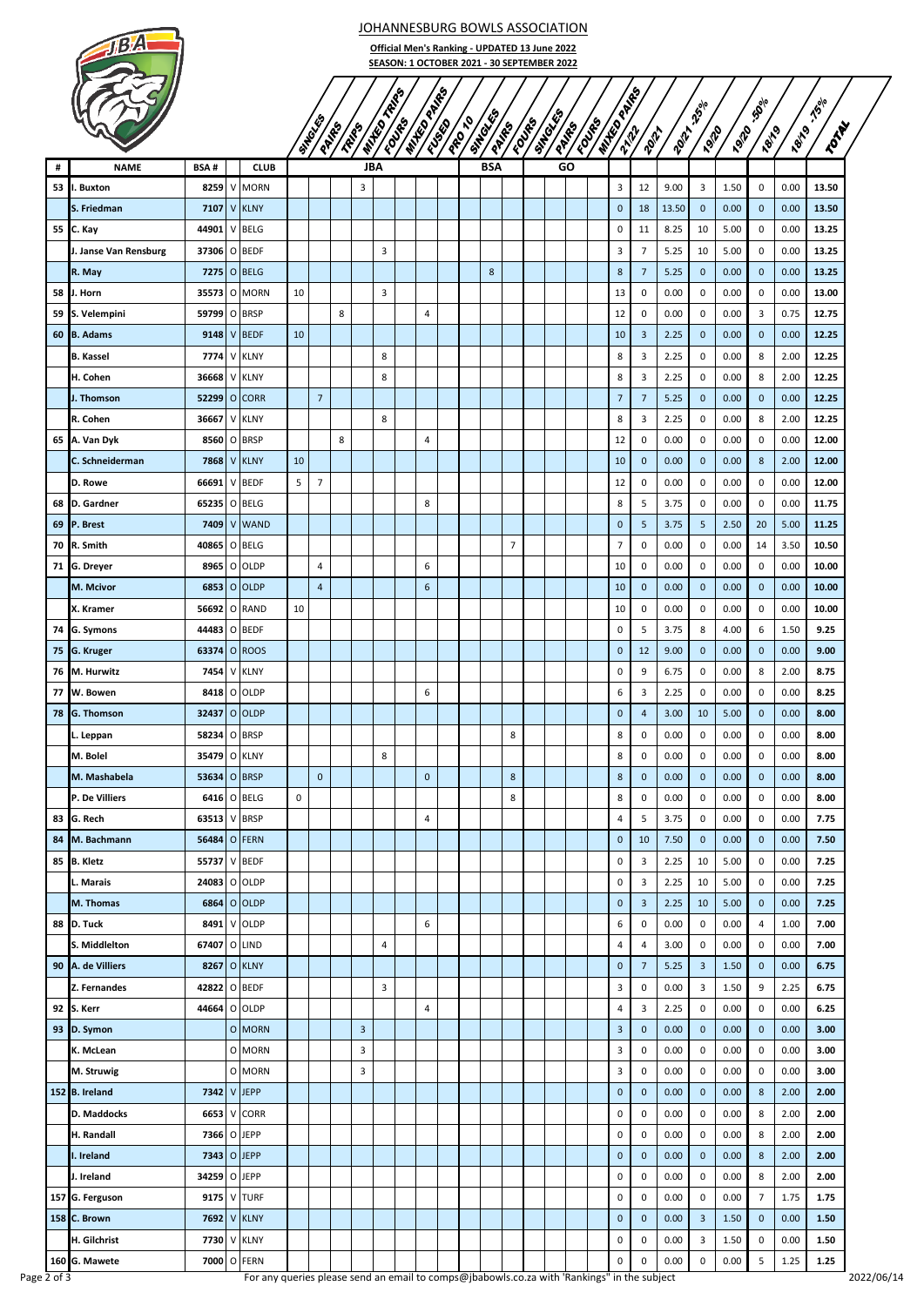

JOHANNESBURG BOWLS ASSOCIATION

**Official Men's Ranking - UPDATED 13 June 2022 SEASON: 1 OCTOBER 2021 - 30 SEPTEMBER 2022**

|    |                       |              |              |                    |             | SIMBLES        | PAIRS | TRIPS          | <b>Milton Ash</b> es | Found | <b>ANTES PRIMES</b> | EUSED | PROTO | SIMBURN<br><b>PATH</b> |                | <b>COVE</b> S | <b>STROOMS</b><br>PARK | <b>EDITED</b> | <b>ANTES PRIMES</b> | <b>Pol</b>              | <b>2012</b> | <b>250%</b><br><b>P9120</b> | <b>P9120</b> | $\mathfrak{H}^{\mathcal{O}^{\backslash o}}$<br><b>Pello</b> |      | <b>1821 - 1500</b><br>TOTAL |
|----|-----------------------|--------------|--------------|--------------------|-------------|----------------|-------|----------------|----------------------|-------|---------------------|-------|-------|------------------------|----------------|---------------|------------------------|---------------|---------------------|-------------------------|-------------|-----------------------------|--------------|-------------------------------------------------------------|------|-----------------------------|
| #  | <b>NAME</b>           | <b>BSA#</b>  |              | <b>CLUB</b>        |             |                |       |                | <b>JBA</b>           |       |                     |       |       | <b>BSA</b>             |                |               | GO                     |               |                     |                         |             |                             |              |                                                             |      |                             |
| 53 | I. Buxton             |              |              | 8259 V MORN        |             |                |       | 3              |                      |       |                     |       |       |                        |                |               |                        |               | 3                   | 12                      | 9.00        | 3                           | 1.50         | 0                                                           | 0.00 | 13.50                       |
|    | S. Friedman           | 7107         | $\mathsf{V}$ | <b>KLNY</b>        |             |                |       |                |                      |       |                     |       |       |                        |                |               |                        |               | $\mathbf 0$         | 18                      | 13.50       | $\mathbf 0$                 | 0.00         | 0                                                           | 0.00 | 13.50                       |
| 55 | C. Kay                | 44901        | $\mathsf{V}$ | <b>BELG</b>        |             |                |       |                |                      |       |                     |       |       |                        |                |               |                        |               | 0                   | 11                      | 8.25        | 10                          | 5.00         | 0                                                           | 0.00 | 13.25                       |
|    | J. Janse Van Rensburg | 37306        |              | O BEDF             |             |                |       |                | 3                    |       |                     |       |       |                        |                |               |                        |               | 3                   | $\overline{7}$          | 5.25        | 10                          | 5.00         | 0                                                           | 0.00 | 13.25                       |
|    | R. May                | 7275         |              | O BELG             |             |                |       |                |                      |       |                     |       |       | 8                      |                |               |                        |               | 8                   | $\overline{7}$          | 5.25        | $\mathbf 0$                 | 0.00         | 0                                                           | 0.00 | 13.25                       |
| 58 | J. Horn               | 35573        |              | O MORN             | 10          |                |       |                | 3                    |       |                     |       |       |                        |                |               |                        |               | 13                  | 0                       | 0.00        | 0                           | 0.00         | 0                                                           | 0.00 | 13.00                       |
| 59 | S. Velempini          | 59799        | O            | <b>BRSP</b>        |             |                | 8     |                |                      |       | 4                   |       |       |                        |                |               |                        |               | 12                  | 0                       | 0.00        | $\pmb{0}$                   | 0.00         | 3                                                           | 0.75 | 12.75                       |
|    | 60 B. Adams           |              |              | 9148 V BEDF        | 10          |                |       |                |                      |       |                     |       |       |                        |                |               |                        |               | 10                  | 3                       | 2.25        | $\mathbf 0$                 | 0.00         | $\mathbf 0$                                                 | 0.00 | 12.25                       |
|    | <b>B.</b> Kassel      | 7774         | $\mathsf{V}$ | <b>KLNY</b>        |             |                |       |                | 8                    |       |                     |       |       |                        |                |               |                        |               | 8                   | 3                       | 2.25        | 0                           | 0.00         | 8                                                           | 2.00 | 12.25                       |
|    | H. Cohen              | 36668        | V            | <b>KLNY</b>        |             |                |       |                | 8                    |       |                     |       |       |                        |                |               |                        |               | 8                   | 3                       | 2.25        | 0                           | 0.00         | 8                                                           | 2.00 | 12.25                       |
|    | J. Thomson            | 52299        |              | O CORR             |             | $\overline{7}$ |       |                |                      |       |                     |       |       |                        |                |               |                        |               | $\overline{7}$      | $\overline{7}$          | 5.25        | $\mathbf 0$                 | 0.00         | $\mathbf 0$                                                 | 0.00 | 12.25                       |
|    | R. Cohen              | 36667        |              | V KLNY             |             |                |       |                | 8                    |       |                     |       |       |                        |                |               |                        |               | 8                   | 3                       | 2.25        | 0                           | 0.00         | 8                                                           | 2.00 | 12.25                       |
|    | 65 A. Van Dyk         | 8560         | 0            | <b>BRSP</b>        |             |                | 8     |                |                      |       | $\overline{4}$      |       |       |                        |                |               |                        |               | 12                  | 0                       | 0.00        | 0                           | 0.00         | 0                                                           | 0.00 | 12.00                       |
|    | C. Schneiderman       | 7868         |              | V KLNY             | 10          |                |       |                |                      |       |                     |       |       |                        |                |               |                        |               | 10                  | $\mathbf 0$             | 0.00        | $\mathbf 0$                 | 0.00         | 8                                                           | 2.00 | 12.00                       |
|    | D. Rowe               | 66691        | V            | <b>BEDF</b>        | 5           | $\overline{7}$ |       |                |                      |       |                     |       |       |                        |                |               |                        |               | 12                  | 0                       | 0.00        | 0                           | 0.00         | 0                                                           | 0.00 | 12.00                       |
|    |                       |              |              |                    |             |                |       |                |                      |       |                     |       |       |                        |                |               |                        |               |                     |                         |             |                             |              |                                                             |      |                             |
| 68 | D. Gardner            | 65235 O BELG |              |                    |             |                |       |                |                      |       | 8                   |       |       |                        |                |               |                        |               | 8                   | 5                       | 3.75        | 0                           | 0.00         | 0                                                           | 0.00 | 11.75                       |
| 69 | P. Brest              | 7409         | $\mathsf{V}$ | <b>WAND</b>        |             |                |       |                |                      |       |                     |       |       |                        |                |               |                        |               | $\mathbf 0$         | 5                       | 3.75        | 5                           | 2.50         | 20                                                          | 5.00 | 11.25                       |
| 70 | R. Smith              | 40865        |              | O BELG             |             |                |       |                |                      |       |                     |       |       |                        | $\overline{7}$ |               |                        |               | 7                   | 0                       | 0.00        | 0                           | 0.00         | 14                                                          | 3.50 | 10.50                       |
|    | 71 G. Dreyer          | 8965         |              | O OLDP             |             | $\overline{4}$ |       |                |                      |       | 6                   |       |       |                        |                |               |                        |               | 10                  | 0                       | 0.00        | 0                           | 0.00         | 0                                                           | 0.00 | 10.00                       |
|    | M. Mcivor             |              |              | 6853 0 OLDP        |             | $\overline{4}$ |       |                |                      |       | 6                   |       |       |                        |                |               |                        |               | 10                  | $\mathbf 0$             | 0.00        | $\mathbf 0$                 | 0.00         | $\mathbf 0$                                                 | 0.00 | 10.00                       |
|    | X. Kramer             | 56692        |              | O RAND             | 10          |                |       |                |                      |       |                     |       |       |                        |                |               |                        |               | 10                  | 0                       | 0.00        | 0                           | 0.00         | 0                                                           | 0.00 | 10.00                       |
| 74 | G. Symons             | 44483        |              | O BEDF             |             |                |       |                |                      |       |                     |       |       |                        |                |               |                        |               | 0                   | 5                       | 3.75        | 8                           | 4.00         | 6                                                           | 1.50 | 9.25                        |
| 75 | G. Kruger             | 63374        |              | O ROOS             |             |                |       |                |                      |       |                     |       |       |                        |                |               |                        |               | $\mathbf 0$         | 12                      | 9.00        | $\mathbf 0$                 | 0.00         | 0                                                           | 0.00 | 9.00                        |
| 76 | M. Hurwitz            | 7454         |              | V KLNY             |             |                |       |                |                      |       |                     |       |       |                        |                |               |                        |               | 0                   | 9                       | 6.75        | 0                           | 0.00         | 8                                                           | 2.00 | 8.75                        |
| 77 | W. Bowen              |              |              | 8418 0 OLDP        |             |                |       |                |                      |       | 6                   |       |       |                        |                |               |                        |               | 6                   | 3                       | 2.25        | 0                           | 0.00         | 0                                                           | 0.00 | 8.25                        |
| 78 | G. Thomson            | 32437        |              | O OLDP             |             |                |       |                |                      |       |                     |       |       |                        |                |               |                        |               | $\mathbf 0$         | $\overline{a}$          | 3.00        | 10                          | 5.00         | 0                                                           | 0.00 | 8.00                        |
|    | L. Leppan             | 58234        |              | O BRSP             |             |                |       |                |                      |       |                     |       |       |                        | 8              |               |                        |               | 8                   | 0                       | 0.00        | 0                           | 0.00         | 0                                                           | 0.00 | 8.00                        |
|    | M. Bolel              | 35479        | 0            | <b>KLNY</b>        |             |                |       |                | 8                    |       |                     |       |       |                        |                |               |                        |               | 8                   | $\pmb{0}$               | 0.00        | 0                           | 0.00         | 0                                                           | 0.00 | 8.00                        |
|    | M. Mashabela          | 53634 O BRSP |              |                    |             | $\mathbf 0$    |       |                |                      |       | $\mathbf{0}$        |       |       |                        | $\bf 8$        |               |                        |               | $\bf 8$             | $\mathbf{0}$            | 0.00        | $\mathbf 0$                 | 0.00         | $\mathbf{0}$                                                | 0.00 | 8.00                        |
|    | P. De Villiers        | 6416         |              | O BELG             | $\mathbf 0$ |                |       |                |                      |       |                     |       |       |                        | 8              |               |                        |               | 8                   | 0                       | 0.00        | $\pmb{0}$                   | 0.00         | 0                                                           | 0.00 | 8.00                        |
|    | 83 G. Rech            | 63513 V BRSP |              |                    |             |                |       |                |                      |       | 4                   |       |       |                        |                |               |                        |               | 4                   | 5                       | 3.75        | 0                           | 0.00         | 0                                                           | 0.00 | 7.75                        |
|    | 84 M. Bachmann        | 56484 O FERN |              |                    |             |                |       |                |                      |       |                     |       |       |                        |                |               |                        |               | $\mathbf 0$         | 10                      | 7.50        | $\pmb{0}$                   | 0.00         | $\mathbf 0$                                                 | 0.00 | 7.50                        |
|    | 85 B. Kletz           | 55737 V BEDF |              |                    |             |                |       |                |                      |       |                     |       |       |                        |                |               |                        |               | 0                   | 3                       | 2.25        | 10                          | 5.00         | 0                                                           | 0.00 | 7.25                        |
|    | L. Marais             | 24083 O OLDP |              |                    |             |                |       |                |                      |       |                     |       |       |                        |                |               |                        |               | 0                   | 3                       | 2.25        | 10                          | 5.00         | 0                                                           | 0.00 | 7.25                        |
|    | M. Thomas             |              |              | 6864 O OLDP        |             |                |       |                |                      |       |                     |       |       |                        |                |               |                        |               | $\mathbf 0$         | $\overline{\mathbf{3}}$ | 2.25        | 10                          | 5.00         | $\mathbf 0$                                                 | 0.00 | 7.25                        |
|    | 88 D. Tuck            |              |              | 8491 V OLDP        |             |                |       |                |                      |       | 6                   |       |       |                        |                |               |                        |               | 6                   | 0                       | 0.00        | 0                           | 0.00         | 4                                                           | 1.00 | 7.00                        |
|    | S. Middlelton         | 67407 O LIND |              |                    |             |                |       |                | 4                    |       |                     |       |       |                        |                |               |                        |               | 4                   | 4                       | 3.00        | 0                           | 0.00         | 0                                                           | 0.00 | 7.00                        |
|    | 90 A. de Villiers     | 8267         |              | O KLNY             |             |                |       |                |                      |       |                     |       |       |                        |                |               |                        |               | $\mathbf 0$         | $\overline{7}$          | 5.25        | $\overline{3}$              | 1.50         | 0                                                           | 0.00 | 6.75                        |
|    | Z. Fernandes          | 42822 O BEDF |              |                    |             |                |       |                | 3                    |       |                     |       |       |                        |                |               |                        |               | 3                   | 0                       | 0.00        | 3                           | 1.50         | 9                                                           | 2.25 | 6.75                        |
|    | 92 S. Kerr            | 44664 O OLDP |              |                    |             |                |       |                |                      |       | $\overline{4}$      |       |       |                        |                |               |                        |               | 4                   | 3                       | 2.25        | 0                           | 0.00         | 0                                                           | 0.00 | 6.25                        |
| 93 | D. Symon              |              |              | O MORN             |             |                |       | $\overline{3}$ |                      |       |                     |       |       |                        |                |               |                        |               | $\mathbf{3}$        | $\pmb{0}$               | 0.00        | $\pmb{0}$                   | 0.00         | 0                                                           | 0.00 | 3.00                        |
|    | K. McLean             |              |              | O MORN             |             |                |       | 3              |                      |       |                     |       |       |                        |                |               |                        |               | 3                   | 0                       | 0.00        | 0                           | 0.00         | 0                                                           | 0.00 | 3.00                        |
|    | M. Struwig            |              |              | O MORN             |             |                |       | 3              |                      |       |                     |       |       |                        |                |               |                        |               | 3                   | 0                       | 0.00        | 0                           | 0.00         | 0                                                           | 0.00 | 3.00                        |
|    | 152 B. Ireland        | 7342 V JEPP  |              |                    |             |                |       |                |                      |       |                     |       |       |                        |                |               |                        |               | $\pmb{0}$           | $\pmb{0}$               | 0.00        | $\mathbf 0$                 | 0.00         | 8                                                           | 2.00 | 2.00                        |
|    | D. Maddocks           |              |              | 6653 V CORR        |             |                |       |                |                      |       |                     |       |       |                        |                |               |                        |               | 0                   | 0                       | 0.00        | 0                           | 0.00         | 8                                                           | 2.00 | 2.00                        |
|    | H. Randall            |              |              | 7366 O JEPP        |             |                |       |                |                      |       |                     |       |       |                        |                |               |                        |               | 0                   | 0                       | 0.00        | 0                           | 0.00         | 8                                                           | 2.00 | 2.00                        |
|    | I. Ireland            |              |              | 7343 O JEPP        |             |                |       |                |                      |       |                     |       |       |                        |                |               |                        |               | $\mathbf 0$         | $\pmb{0}$               | 0.00        | $\pmb{0}$                   | 0.00         | 8                                                           | 2.00 | 2.00                        |
|    | J. Ireland            | 34259 O JEPP |              |                    |             |                |       |                |                      |       |                     |       |       |                        |                |               |                        |               | 0                   | 0                       | 0.00        | 0                           | 0.00         | 8                                                           | 2.00 | 2.00                        |
|    | 157 G. Ferguson       |              |              | 9175 V TURF        |             |                |       |                |                      |       |                     |       |       |                        |                |               |                        |               | 0                   | 0                       | 0.00        | 0                           | 0.00         | $\overline{7}$                                              | 1.75 | 1.75                        |
|    | 158 C. Brown          |              |              | <b>7692 V KLNY</b> |             |                |       |                |                      |       |                     |       |       |                        |                |               |                        |               | $\pmb{0}$           | $\pmb{0}$               | 0.00        | 3                           | 1.50         | 0                                                           | 0.00 | 1.50                        |
|    | H. Gilchrist          |              |              | 7730 V KLNY        |             |                |       |                |                      |       |                     |       |       |                        |                |               |                        |               | 0                   | $\pmb{0}$               | 0.00        | 3                           | 1.50         | 0                                                           | 0.00 | 1.50                        |
|    |                       |              |              |                    |             |                |       |                |                      |       |                     |       |       |                        |                |               |                        |               |                     |                         |             |                             |              |                                                             |      |                             |

**160 G. Mawete 7000** O FERN 0 0 0.00 0 0.00 5 1.25 **1.25**